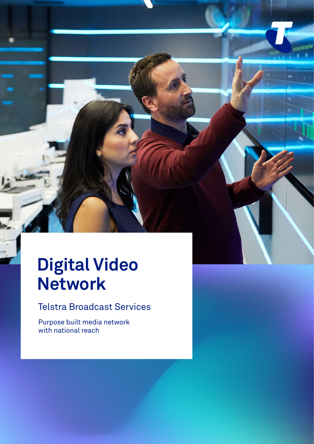## **Digital Video Network**

Telstra Broadcast Services

of broadcast specialists who with your to schedule, with you to schedule, with  $\alpha$ 

content, all with 24/7 support. Delivering over 20,000 ad hoc event bookings annually, media companies trust our network blend for

economically built media network<br>Mark audiences across the world, world, world, world, world, world, world, world, world, world, world, world, trust a 24/7 occasional use service to deliver your content onwith national reach  $\overline{\phantom{a}}$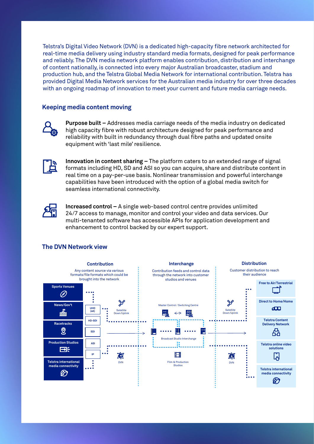Telstra's Digital Video Network (DVN) is a dedicated high-capacity fibre network architected for real-time media delivery using industry standard media formats, designed for peak performance and reliably. The DVN media network platform enables contribution, distribution and interchange of content nationally, is connected into every major Australian broadcaster, stadium and production hub, and the Telstra Global Media Network for international contribution. Telstra has provided Digital Media Network services for the Australian media industry for over three decades with an ongoing roadmap of innovation to meet your current and future media carriage needs.

## **Keeping media content moving**



**Purpose built –** Addresses media carriage needs of the media industry on dedicated high capacity fibre with robust architecture designed for peak performance and reliability with built in redundancy through dual fibre paths and updated onsite equipment with 'last mile' resilience.



**Innovation in content sharing –** The platform caters to an extended range of signal formats including HD, SD and ASI so you can acquire, share and distribute content in real time on a pay-per-use basis. Nonlinear transmission and powerful interchange capabilities have been introduced with the option of a global media switch for seamless international connectivity.



**Increased control –** A single web-based control centre provides unlimited 24/7 access to manage, monitor and control your video and data services. Our multi-tenanted software has accessible APIs for application development and enhancement to control backed by our expert support.

## **The DVN Network view**

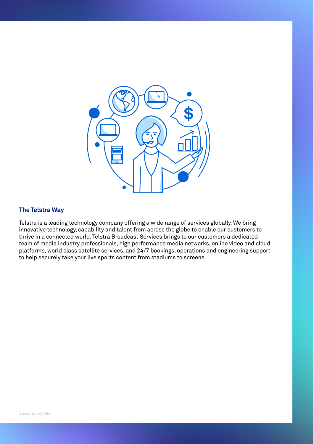

## **The Telstra Way**

Telstra is a leading technology company offering a wide range of services globally. We bring innovative technology, capability and talent from across the globe to enable our customers to thrive in a connected world. Telstra Broadcast Services brings to our customers a dedicated team of media industry professionals, high performance media networks, online video and cloud platforms, world class satellite services, and 24/7 bookings, operations and engineering support to help securely take your live sports content from stadiums to screens.